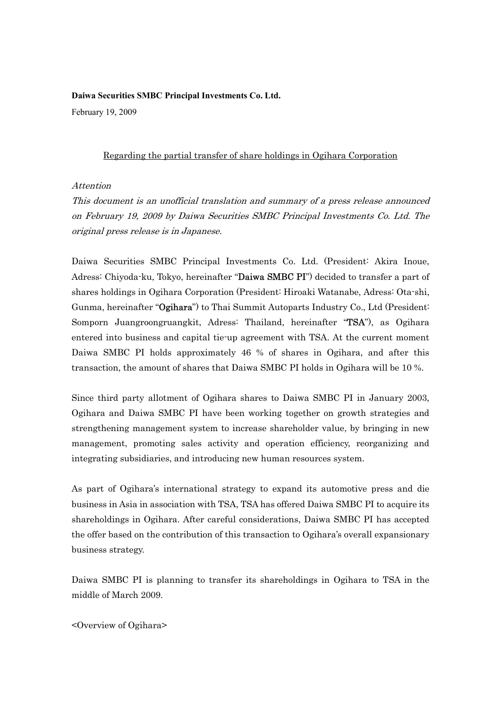## **Daiwa Securities SMBC Principal Investments Co. Ltd.**

February 19, 2009

## Regarding the partial transfer of share holdings in Ogihara Corporation

## Attention

This document is an unofficial translation and summary of a press release announced on February 19, 2009 by Daiwa Securities SMBC Principal Investments Co. Ltd. The original press release is in Japanese.

Daiwa Securities SMBC Principal Investments Co. Ltd. (President: Akira Inoue, Adress: Chiyoda-ku, Tokyo, hereinafter "Daiwa SMBC PI") decided to transfer a part of shares holdings in Ogihara Corporation (President: Hiroaki Watanabe, Adress: Ota-shi, Gunma, hereinafter "Ogihara") to Thai Summit Autoparts Industry Co., Ltd (President: Somporn Juangroongruangkit, Adress: Thailand, hereinafter "TSA"), as Ogihara entered into business and capital tie-up agreement with TSA. At the current moment Daiwa SMBC PI holds approximately 46 % of shares in Ogihara, and after this transaction, the amount of shares that Daiwa SMBC PI holds in Ogihara will be 10 %.

Since third party allotment of Ogihara shares to Daiwa SMBC PI in January 2003, Ogihara and Daiwa SMBC PI have been working together on growth strategies and strengthening management system to increase shareholder value, by bringing in new management, promoting sales activity and operation efficiency, reorganizing and integrating subsidiaries, and introducing new human resources system.

As part of Ogihara's international strategy to expand its automotive press and die business in Asia in association with TSA, TSA has offered Daiwa SMBC PI to acquire its shareholdings in Ogihara. After careful considerations, Daiwa SMBC PI has accepted the offer based on the contribution of this transaction to Ogihara's overall expansionary business strategy.

Daiwa SMBC PI is planning to transfer its shareholdings in Ogihara to TSA in the middle of March 2009.

<Overview of Ogihara>